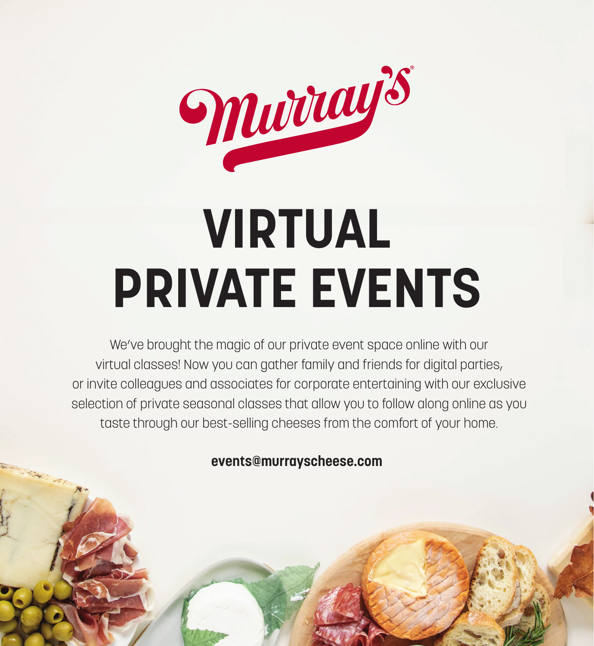

# **VIRTUAL PRIVATE EVENTS**

We've brought the magic of our private event space online with our virtual classes! Now you can gather family and friends for digital parties, or invite colleagues and associates for corporate entertaining with our exclusive selection of private seasonal classes that allow you to follow along online as you taste through our best-selling cheeses from the comfort of your home.

**events@murrayscheese.com**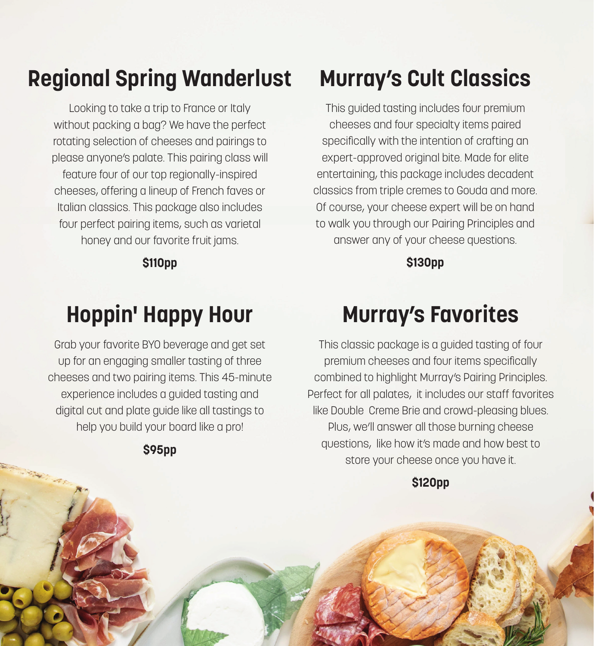### **Regional Spring Wanderlust**

Looking to take a trip to France or Italy without packing a bag? We have the perfect rotating selection of cheeses and pairings to please anyone's palate. This pairing class will feature four of our top regionally-inspired cheeses, offering a lineup of French faves or Italian classics. This package also includes four perfect pairing items, such as varietal honey and our favorite fruit jams.

**\$110pp**

### **Hoppin' Happy Hour**

Grab your favorite BYO beverage and get set up for an engaging smaller tasting of three cheeses and two pairing items. This 45-minute experience includes a guided tasting and digital cut and plate guide like all tastings to help you build your board like a pro!

#### **\$95pp**

### **Murray's Cult Classics**

This guided tasting includes four premium cheeses and four specialty items paired specifically with the intention of crafting an expert-approved original bite. Made for elite entertaining, this package includes decadent classics from triple cremes to Gouda and more. Of course, your cheese expert will be on hand to walk you through our Pairing Principles and answer any of your cheese questions.

**\$130pp**

### **Murray's Favorites**

This classic package is a guided tasting of four premium cheeses and four items specifically combined to highlight Murray's Pairing Principles. Perfect for all palates, it includes our staff favorites like Double Creme Brie and crowd-pleasing blues. Plus, we'll answer all those burning cheese questions, like how it's made and how best to store your cheese once you have it.

**\$120pp**